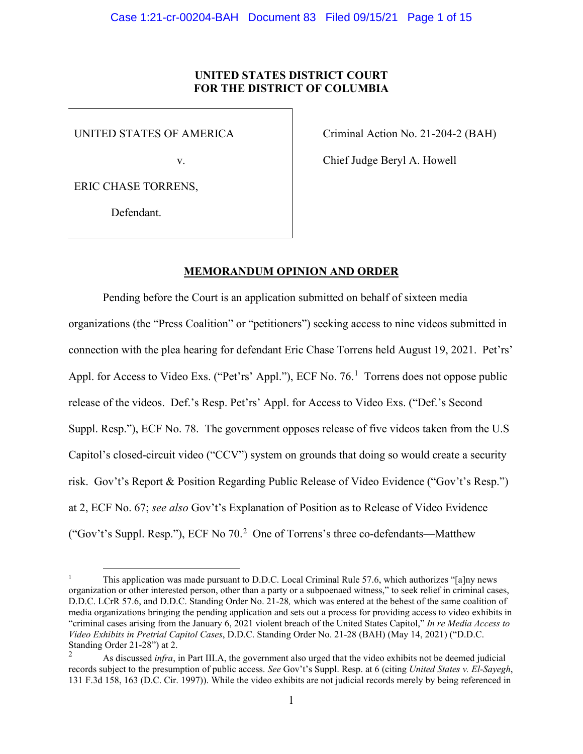# **UNITED STATES DISTRICT COURT FOR THE DISTRICT OF COLUMBIA**

UNITED STATES OF AMERICA

v.

ERIC CHASE TORRENS,

Defendant.

Criminal Action No. 21-204-2 (BAH)

Chief Judge Beryl A. Howell

# **MEMORANDUM OPINION AND ORDER**

Pending before the Court is an application submitted on behalf of sixteen media organizations (the "Press Coalition" or "petitioners") seeking access to nine videos submitted in connection with the plea hearing for defendant Eric Chase Torrens held August 19, 2021. Pet'rs' Appl. for Access to Video Exs. ("Pet'rs' Appl."), ECF No. 76.<sup>1</sup> Torrens does not oppose public release of the videos. Def.'s Resp. Pet'rs' Appl. for Access to Video Exs. ("Def.'s Second Suppl. Resp."), ECF No. 78. The government opposes release of five videos taken from the U.S Capitol's closed-circuit video ("CCV") system on grounds that doing so would create a security risk. Gov't's Report & Position Regarding Public Release of Video Evidence ("Gov't's Resp.") at 2, ECF No. 67; *see also* Gov't's Explanation of Position as to Release of Video Evidence ("Gov't's Suppl. Resp."), ECF No  $70<sup>2</sup>$  One of Torrens's three co-defendants—Matthew

<sup>1</sup> This application was made pursuant to D.D.C. Local Criminal Rule 57.6, which authorizes "[a]ny news organization or other interested person, other than a party or a subpoenaed witness," to seek relief in criminal cases, D.D.C. LCrR 57.6, and D.D.C. Standing Order No. 21-28*,* which was entered at the behest of the same coalition of media organizations bringing the pending application and sets out a process for providing access to video exhibits in "criminal cases arising from the January 6, 2021 violent breach of the United States Capitol," *In re Media Access to Video Exhibits in Pretrial Capitol Cases*, D.D.C. Standing Order No. 21-28 (BAH) (May 14, 2021) ("D.D.C. Standing Order 21-28") at 2.

<sup>2</sup> As discussed *infra*, in Part III.A, the government also urged that the video exhibits not be deemed judicial records subject to the presumption of public access. *See* Gov't's Suppl. Resp. at 6 (citing *United States v. El-Sayegh*, 131 F.3d 158, 163 (D.C. Cir. 1997)). While the video exhibits are not judicial records merely by being referenced in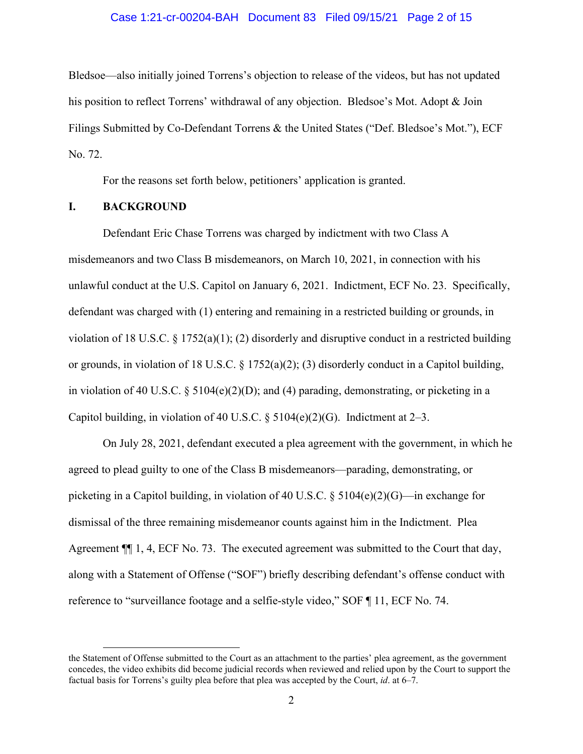## Case 1:21-cr-00204-BAH Document 83 Filed 09/15/21 Page 2 of 15

Bledsoe—also initially joined Torrens's objection to release of the videos, but has not updated his position to reflect Torrens' withdrawal of any objection. Bledsoe's Mot. Adopt & Join Filings Submitted by Co-Defendant Torrens & the United States ("Def. Bledsoe's Mot."), ECF No. 72.

For the reasons set forth below, petitioners' application is granted.

# **I. BACKGROUND**

Defendant Eric Chase Torrens was charged by indictment with two Class A misdemeanors and two Class B misdemeanors, on March 10, 2021, in connection with his unlawful conduct at the U.S. Capitol on January 6, 2021. Indictment, ECF No. 23. Specifically, defendant was charged with (1) entering and remaining in a restricted building or grounds, in violation of 18 U.S.C. § 1752(a)(1); (2) disorderly and disruptive conduct in a restricted building or grounds, in violation of 18 U.S.C. § 1752(a)(2); (3) disorderly conduct in a Capitol building, in violation of 40 U.S.C.  $\S$  5104(e)(2)(D); and (4) parading, demonstrating, or picketing in a Capitol building, in violation of 40 U.S.C.  $\S$  5104(e)(2)(G). Indictment at 2–3.

On July 28, 2021, defendant executed a plea agreement with the government, in which he agreed to plead guilty to one of the Class B misdemeanors—parading, demonstrating, or picketing in a Capitol building, in violation of 40 U.S.C.  $\S$  5104(e)(2)(G)—in exchange for dismissal of the three remaining misdemeanor counts against him in the Indictment. Plea Agreement ¶¶ 1, 4, ECF No. 73. The executed agreement was submitted to the Court that day, along with a Statement of Offense ("SOF") briefly describing defendant's offense conduct with reference to "surveillance footage and a selfie-style video," SOF ¶ 11, ECF No. 74.

the Statement of Offense submitted to the Court as an attachment to the parties' plea agreement, as the government concedes, the video exhibits did become judicial records when reviewed and relied upon by the Court to support the factual basis for Torrens's guilty plea before that plea was accepted by the Court, *id*. at 6–7.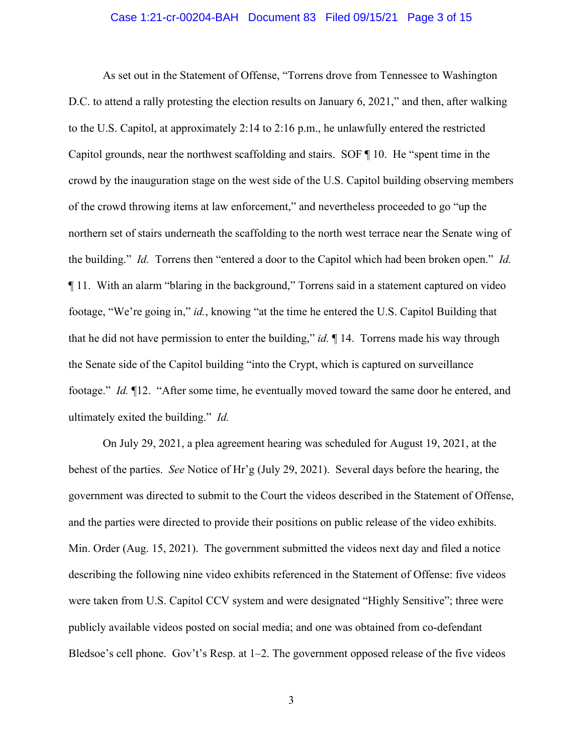### Case 1:21-cr-00204-BAH Document 83 Filed 09/15/21 Page 3 of 15

As set out in the Statement of Offense, "Torrens drove from Tennessee to Washington D.C. to attend a rally protesting the election results on January 6, 2021," and then, after walking to the U.S. Capitol, at approximately 2:14 to 2:16 p.m., he unlawfully entered the restricted Capitol grounds, near the northwest scaffolding and stairs. SOF ¶ 10. He "spent time in the crowd by the inauguration stage on the west side of the U.S. Capitol building observing members of the crowd throwing items at law enforcement," and nevertheless proceeded to go "up the northern set of stairs underneath the scaffolding to the north west terrace near the Senate wing of the building." *Id.* Torrens then "entered a door to the Capitol which had been broken open." *Id.* ¶ 11. With an alarm "blaring in the background," Torrens said in a statement captured on video footage, "We're going in," *id.*, knowing "at the time he entered the U.S. Capitol Building that that he did not have permission to enter the building," *id.* ¶ 14. Torrens made his way through the Senate side of the Capitol building "into the Crypt, which is captured on surveillance footage." *Id.* ¶12. "After some time, he eventually moved toward the same door he entered, and ultimately exited the building." *Id.*

On July 29, 2021, a plea agreement hearing was scheduled for August 19, 2021, at the behest of the parties. *See* Notice of Hr'g (July 29, 2021). Several days before the hearing, the government was directed to submit to the Court the videos described in the Statement of Offense, and the parties were directed to provide their positions on public release of the video exhibits. Min. Order (Aug. 15, 2021). The government submitted the videos next day and filed a notice describing the following nine video exhibits referenced in the Statement of Offense: five videos were taken from U.S. Capitol CCV system and were designated "Highly Sensitive"; three were publicly available videos posted on social media; and one was obtained from co-defendant Bledsoe's cell phone. Gov't's Resp. at 1–2. The government opposed release of the five videos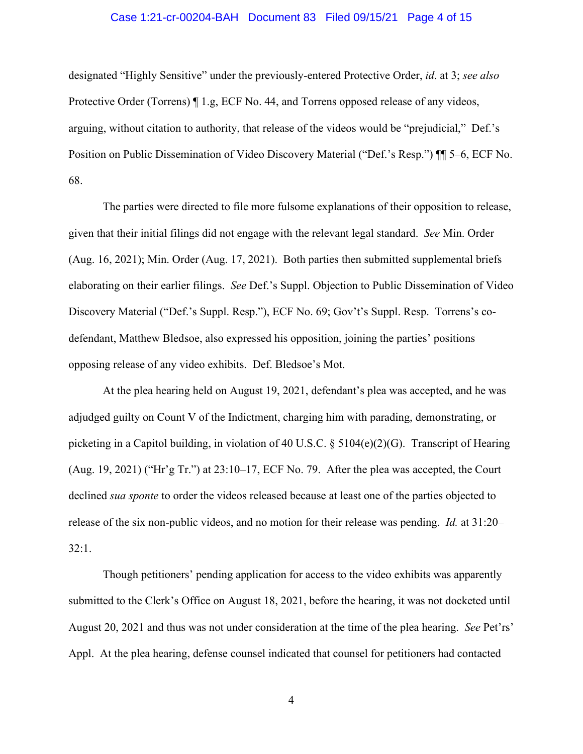## Case 1:21-cr-00204-BAH Document 83 Filed 09/15/21 Page 4 of 15

designated "Highly Sensitive" under the previously-entered Protective Order, *id*. at 3; *see also*  Protective Order (Torrens) ¶ 1.g, ECF No. 44, and Torrens opposed release of any videos, arguing, without citation to authority, that release of the videos would be "prejudicial," Def.'s Position on Public Dissemination of Video Discovery Material ("Def.'s Resp.") ¶¶ 5–6, ECF No. 68.

The parties were directed to file more fulsome explanations of their opposition to release, given that their initial filings did not engage with the relevant legal standard. *See* Min. Order (Aug. 16, 2021); Min. Order (Aug. 17, 2021). Both parties then submitted supplemental briefs elaborating on their earlier filings. *See* Def.'s Suppl. Objection to Public Dissemination of Video Discovery Material ("Def.'s Suppl. Resp."), ECF No. 69; Gov't's Suppl. Resp. Torrens's codefendant, Matthew Bledsoe, also expressed his opposition, joining the parties' positions opposing release of any video exhibits. Def. Bledsoe's Mot.

At the plea hearing held on August 19, 2021, defendant's plea was accepted, and he was adjudged guilty on Count V of the Indictment, charging him with parading, demonstrating, or picketing in a Capitol building, in violation of 40 U.S.C. § 5104(e)(2)(G). Transcript of Hearing (Aug. 19, 2021) ("Hr'g Tr.") at  $23:10-17$ , ECF No. 79. After the plea was accepted, the Court declined *sua sponte* to order the videos released because at least one of the parties objected to release of the six non-public videos, and no motion for their release was pending. *Id.* at 31:20– 32:1.

Though petitioners' pending application for access to the video exhibits was apparently submitted to the Clerk's Office on August 18, 2021, before the hearing, it was not docketed until August 20, 2021 and thus was not under consideration at the time of the plea hearing. *See* Pet'rs' Appl. At the plea hearing, defense counsel indicated that counsel for petitioners had contacted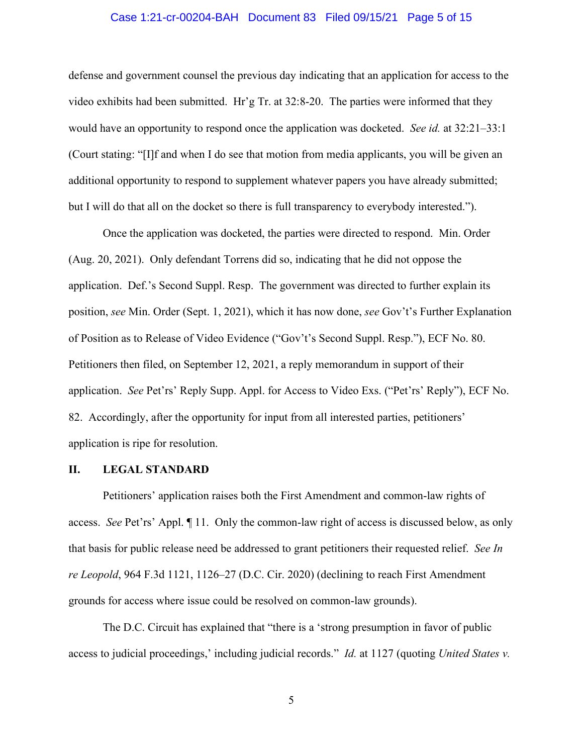## Case 1:21-cr-00204-BAH Document 83 Filed 09/15/21 Page 5 of 15

defense and government counsel the previous day indicating that an application for access to the video exhibits had been submitted. Hr'g Tr. at 32:8-20. The parties were informed that they would have an opportunity to respond once the application was docketed. *See id.* at 32:21–33:1 (Court stating: "[I]f and when I do see that motion from media applicants, you will be given an additional opportunity to respond to supplement whatever papers you have already submitted; but I will do that all on the docket so there is full transparency to everybody interested.").

Once the application was docketed, the parties were directed to respond. Min. Order (Aug. 20, 2021). Only defendant Torrens did so, indicating that he did not oppose the application. Def.'s Second Suppl. Resp. The government was directed to further explain its position, *see* Min. Order (Sept. 1, 2021), which it has now done, *see* Gov't's Further Explanation of Position as to Release of Video Evidence ("Gov't's Second Suppl. Resp."), ECF No. 80. Petitioners then filed, on September 12, 2021, a reply memorandum in support of their application. *See* Pet'rs' Reply Supp. Appl. for Access to Video Exs. ("Pet'rs' Reply"), ECF No. 82. Accordingly, after the opportunity for input from all interested parties, petitioners' application is ripe for resolution.

#### **II. LEGAL STANDARD**

Petitioners' application raises both the First Amendment and common-law rights of access. *See* Pet'rs' Appl. ¶ 11. Only the common-law right of access is discussed below, as only that basis for public release need be addressed to grant petitioners their requested relief. *See In re Leopold*, 964 F.3d 1121, 1126–27 (D.C. Cir. 2020) (declining to reach First Amendment grounds for access where issue could be resolved on common-law grounds).

The D.C. Circuit has explained that "there is a 'strong presumption in favor of public access to judicial proceedings,' including judicial records." *Id.* at 1127 (quoting *United States v.*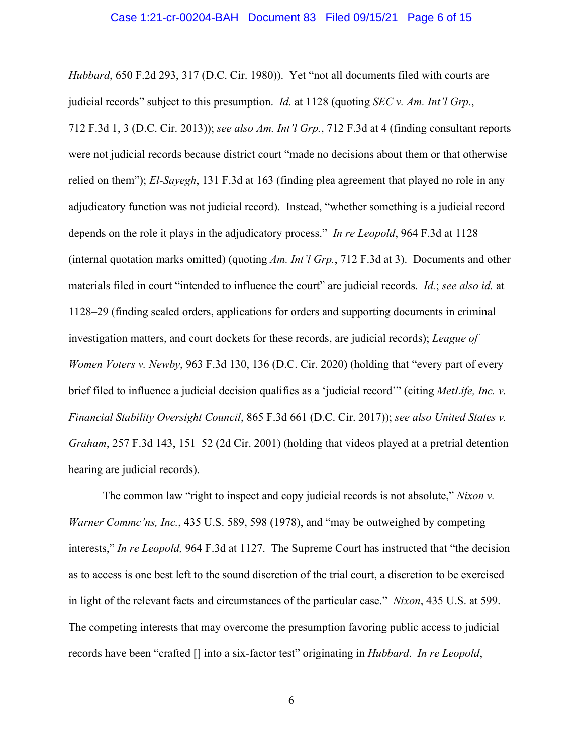#### Case 1:21-cr-00204-BAH Document 83 Filed 09/15/21 Page 6 of 15

*Hubbard*, 650 F.2d 293, 317 (D.C. Cir. 1980)). Yet "not all documents filed with courts are judicial records" subject to this presumption. *Id.* at 1128 (quoting *SEC v. Am. Int'l Grp.*, 712 F.3d 1, 3 (D.C. Cir. 2013)); *see also Am. Int'l Grp.*, 712 F.3d at 4 (finding consultant reports were not judicial records because district court "made no decisions about them or that otherwise relied on them"); *El-Sayegh*, 131 F.3d at 163 (finding plea agreement that played no role in any adjudicatory function was not judicial record). Instead, "whether something is a judicial record depends on the role it plays in the adjudicatory process." *In re Leopold*, 964 F.3d at 1128 (internal quotation marks omitted) (quoting *Am. Int'l Grp.*, 712 F.3d at 3). Documents and other materials filed in court "intended to influence the court" are judicial records. *Id.*; *see also id.* at 1128–29 (finding sealed orders, applications for orders and supporting documents in criminal investigation matters, and court dockets for these records, are judicial records); *League of Women Voters v. Newby*, 963 F.3d 130, 136 (D.C. Cir. 2020) (holding that "every part of every brief filed to influence a judicial decision qualifies as a 'judicial record'" (citing *MetLife, Inc. v. Financial Stability Oversight Council*, 865 F.3d 661 (D.C. Cir. 2017)); *see also United States v. Graham*, 257 F.3d 143, 151–52 (2d Cir. 2001) (holding that videos played at a pretrial detention hearing are judicial records).

The common law "right to inspect and copy judicial records is not absolute," *Nixon v. Warner Commc'ns, Inc.*, 435 U.S. 589, 598 (1978), and "may be outweighed by competing interests," *In re Leopold,* 964 F.3d at 1127. The Supreme Court has instructed that "the decision as to access is one best left to the sound discretion of the trial court, a discretion to be exercised in light of the relevant facts and circumstances of the particular case." *Nixon*, 435 U.S. at 599. The competing interests that may overcome the presumption favoring public access to judicial records have been "crafted [] into a six-factor test" originating in *Hubbard*. *In re Leopold*,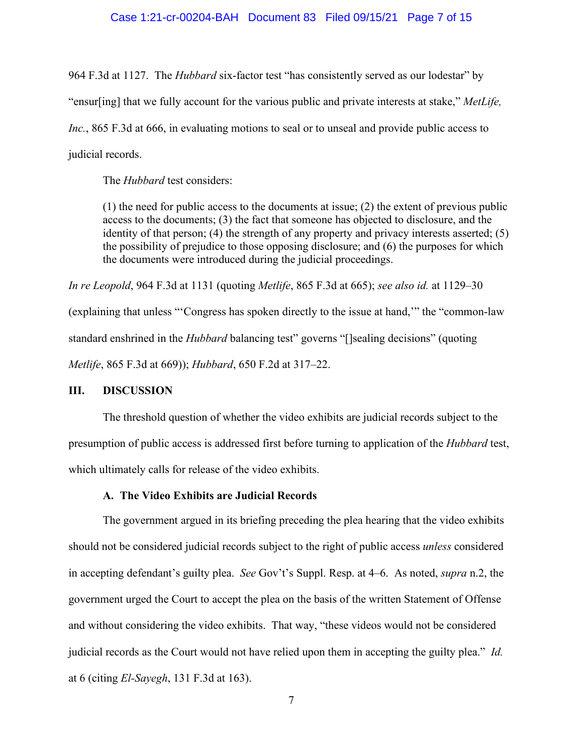## Case 1:21-cr-00204-BAH Document 83 Filed 09/15/21 Page 7 of 15

964 F.3d at 1127. The *Hubbard* six-factor test "has consistently served as our lodestar" by "ensur[ing] that we fully account for the various public and private interests at stake," *MetLife, Inc.*, 865 F.3d at 666, in evaluating motions to seal or to unseal and provide public access to judicial records.

The *Hubbard* test considers:

(1) the need for public access to the documents at issue; (2) the extent of previous public access to the documents; (3) the fact that someone has objected to disclosure, and the identity of that person; (4) the strength of any property and privacy interests asserted; (5) the possibility of prejudice to those opposing disclosure; and (6) the purposes for which the documents were introduced during the judicial proceedings.

*In re Leopold*, 964 F.3d at 1131 (quoting *Metlife*, 865 F.3d at 665); *see also id.* at 1129–30

(explaining that unless "'Congress has spoken directly to the issue at hand,'" the "common-law standard enshrined in the *Hubbard* balancing test" governs "[]sealing decisions" (quoting *Metlife*, 865 F.3d at 669)); *Hubbard*, 650 F.2d at 317–22.

#### **III. DISCUSSION**

The threshold question of whether the video exhibits are judicial records subject to the presumption of public access is addressed first before turning to application of the *Hubbard* test, which ultimately calls for release of the video exhibits.

#### **A. The Video Exhibits are Judicial Records**

The government argued in its briefing preceding the plea hearing that the video exhibits should not be considered judicial records subject to the right of public access *unless* considered in accepting defendant's guilty plea. *See* Gov't's Suppl. Resp. at 4–6. As noted, *supra* n.2, the government urged the Court to accept the plea on the basis of the written Statement of Offense and without considering the video exhibits. That way, "these videos would not be considered judicial records as the Court would not have relied upon them in accepting the guilty plea." *Id.* at 6 (citing *El-Sayegh*, 131 F.3d at 163).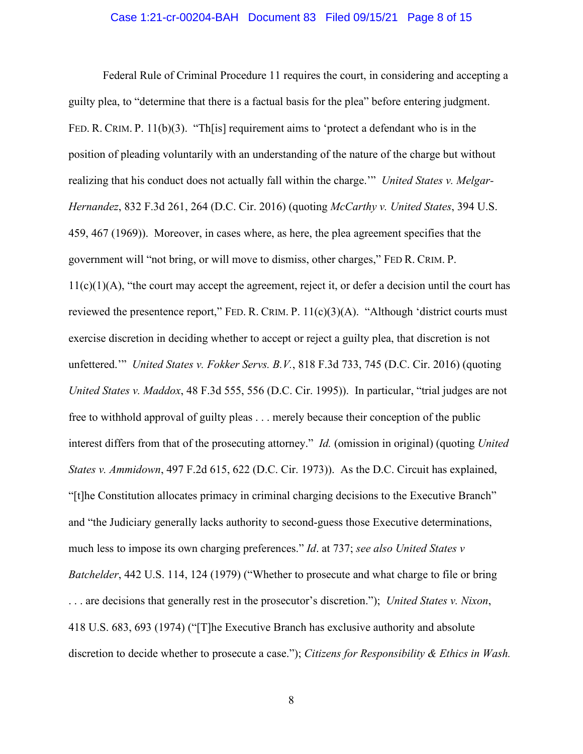## Case 1:21-cr-00204-BAH Document 83 Filed 09/15/21 Page 8 of 15

Federal Rule of Criminal Procedure 11 requires the court, in considering and accepting a guilty plea, to "determine that there is a factual basis for the plea" before entering judgment. FED. R. CRIM. P. 11(b)(3). "Th[is] requirement aims to 'protect a defendant who is in the position of pleading voluntarily with an understanding of the nature of the charge but without realizing that his conduct does not actually fall within the charge.'" *United States v. Melgar-Hernandez*, 832 F.3d 261, 264 (D.C. Cir. 2016) (quoting *McCarthy v. United States*, 394 U.S. 459, 467 (1969)). Moreover, in cases where, as here, the plea agreement specifies that the government will "not bring, or will move to dismiss, other charges," FED R. CRIM. P.  $11(c)(1)(A)$ , "the court may accept the agreement, reject it, or defer a decision until the court has reviewed the presentence report," FED. R. CRIM. P.  $11(c)(3)(A)$ . "Although 'district courts must exercise discretion in deciding whether to accept or reject a guilty plea, that discretion is not unfettered.'" *United States v. Fokker Servs. B.V.*, 818 F.3d 733, 745 (D.C. Cir. 2016) (quoting *United States v. Maddox*, 48 F.3d 555, 556 (D.C. Cir. 1995)). In particular, "trial judges are not free to withhold approval of guilty pleas . . . merely because their conception of the public interest differs from that of the prosecuting attorney." *Id.* (omission in original) (quoting *United States v. Ammidown*, 497 F.2d 615, 622 (D.C. Cir. 1973)). As the D.C. Circuit has explained, "[t]he Constitution allocates primacy in criminal charging decisions to the Executive Branch" and "the Judiciary generally lacks authority to second-guess those Executive determinations, much less to impose its own charging preferences." *Id*. at 737; *see also United States v Batchelder*, 442 U.S. 114, 124 (1979) ("Whether to prosecute and what charge to file or bring . . . are decisions that generally rest in the prosecutor's discretion."); *United States v. Nixon*, 418 U.S. 683, 693 (1974) ("[T]he Executive Branch has exclusive authority and absolute discretion to decide whether to prosecute a case."); *Citizens for Responsibility & Ethics in Wash.*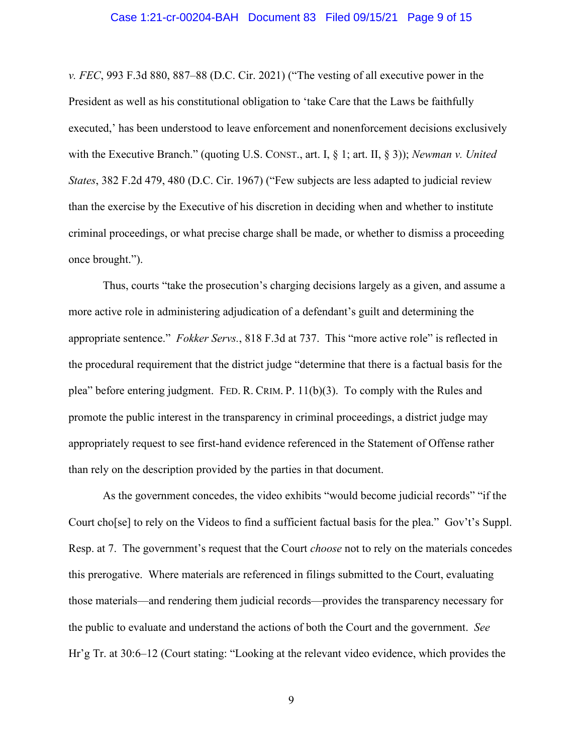#### Case 1:21-cr-00204-BAH Document 83 Filed 09/15/21 Page 9 of 15

*v. FEC*, 993 F.3d 880, 887–88 (D.C. Cir. 2021) ("The vesting of all executive power in the President as well as his constitutional obligation to 'take Care that the Laws be faithfully executed,' has been understood to leave enforcement and nonenforcement decisions exclusively with the Executive Branch." (quoting U.S. CONST., art. I, § 1; art. II, § 3)); *Newman v. United States*, 382 F.2d 479, 480 (D.C. Cir. 1967) ("Few subjects are less adapted to judicial review than the exercise by the Executive of his discretion in deciding when and whether to institute criminal proceedings, or what precise charge shall be made, or whether to dismiss a proceeding once brought.").

Thus, courts "take the prosecution's charging decisions largely as a given, and assume a more active role in administering adjudication of a defendant's guilt and determining the appropriate sentence." *Fokker Servs.*, 818 F.3d at 737. This "more active role" is reflected in the procedural requirement that the district judge "determine that there is a factual basis for the plea" before entering judgment. FED. R. CRIM. P. 11(b)(3). To comply with the Rules and promote the public interest in the transparency in criminal proceedings, a district judge may appropriately request to see first-hand evidence referenced in the Statement of Offense rather than rely on the description provided by the parties in that document.

As the government concedes, the video exhibits "would become judicial records" "if the Court cho[se] to rely on the Videos to find a sufficient factual basis for the plea." Gov't's Suppl. Resp. at 7. The government's request that the Court *choose* not to rely on the materials concedes this prerogative. Where materials are referenced in filings submitted to the Court, evaluating those materials—and rendering them judicial records—provides the transparency necessary for the public to evaluate and understand the actions of both the Court and the government. *See*  Hr'g Tr. at 30:6–12 (Court stating: "Looking at the relevant video evidence, which provides the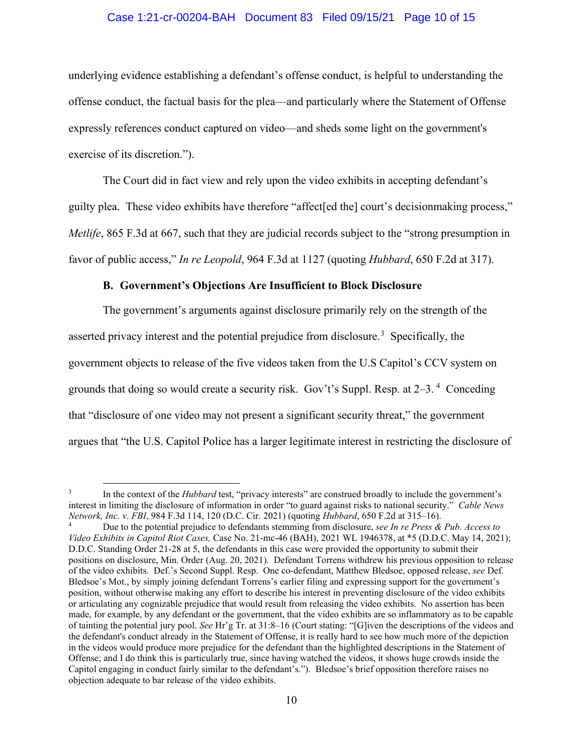# Case 1:21-cr-00204-BAH Document 83 Filed 09/15/21 Page 10 of 15

underlying evidence establishing a defendant's offense conduct, is helpful to understanding the offense conduct, the factual basis for the plea—and particularly where the Statement of Offense expressly references conduct captured on video—and sheds some light on the government's exercise of its discretion.").

The Court did in fact view and rely upon the video exhibits in accepting defendant's guilty plea. These video exhibits have therefore "affect[ed the] court's decisionmaking process," *Metlife*, 865 F.3d at 667, such that they are judicial records subject to the "strong presumption in favor of public access," *In re Leopold*, 964 F.3d at 1127 (quoting *Hubbard*, 650 F.2d at 317).

# **B. Government's Objections Are Insufficient to Block Disclosure**

The government's arguments against disclosure primarily rely on the strength of the asserted privacy interest and the potential prejudice from disclosure.<sup>3</sup> Specifically, the government objects to release of the five videos taken from the U.S Capitol's CCV system on grounds that doing so would create a security risk. Gov't's Suppl. Resp. at 2-3.<sup>4</sup> Conceding that "disclosure of one video may not present a significant security threat," the government argues that "the U.S. Capitol Police has a larger legitimate interest in restricting the disclosure of

<sup>&</sup>lt;sup>3</sup> In the context of the *Hubbard* test, "privacy interests" are construed broadly to include the government's interest in limiting the disclosure of information in order "to guard against risks to national security." *Cable News Network, Inc. v. FBI*, 984 F.3d 114, 120 (D.C. Cir. 2021) (quoting *Hubbard*, 650 F.2d at 315–16).

<sup>4</sup> Due to the potential prejudice to defendants stemming from disclosure, *see In re Press & Pub. Access to Video Exhibits in Capitol Riot Cases,* Case No. 21-mc-46 (BAH), 2021 WL 1946378, at \*5 (D.D.C. May 14, 2021); D.D.C. Standing Order 21-28 at 5, the defendants in this case were provided the opportunity to submit their positions on disclosure, Min. Order (Aug. 20, 2021). Defendant Torrens withdrew his previous opposition to release of the video exhibits. Def.'s Second Suppl. Resp. One co-defendant, Matthew Bledsoe, opposed release, *see* Def. Bledsoe's Mot., by simply joining defendant Torrens's earlier filing and expressing support for the government's position, without otherwise making any effort to describe his interest in preventing disclosure of the video exhibits or articulating any cognizable prejudice that would result from releasing the video exhibits. No assertion has been made, for example, by any defendant or the government, that the video exhibits are so inflammatory as to be capable of tainting the potential jury pool. *See* Hr'g Tr. at 31:8–16 (Court stating: "[G]iven the descriptions of the videos and the defendant's conduct already in the Statement of Offense, it is really hard to see how much more of the depiction in the videos would produce more prejudice for the defendant than the highlighted descriptions in the Statement of Offense; and I do think this is particularly true, since having watched the videos, it shows huge crowds inside the Capitol engaging in conduct fairly similar to the defendant's."). Bledsoe's brief opposition therefore raises no objection adequate to bar release of the video exhibits.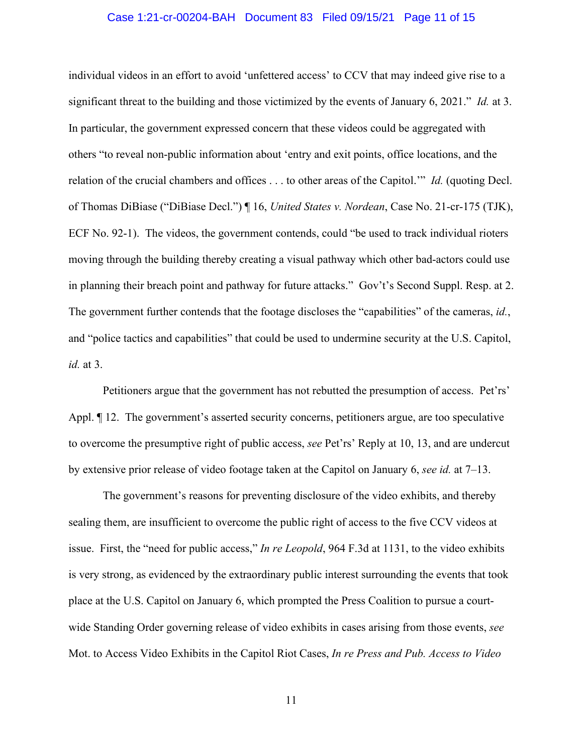## Case 1:21-cr-00204-BAH Document 83 Filed 09/15/21 Page 11 of 15

individual videos in an effort to avoid 'unfettered access' to CCV that may indeed give rise to a significant threat to the building and those victimized by the events of January 6, 2021." *Id.* at 3. In particular, the government expressed concern that these videos could be aggregated with others "to reveal non-public information about 'entry and exit points, office locations, and the relation of the crucial chambers and offices . . . to other areas of the Capitol.'" *Id.* (quoting Decl. of Thomas DiBiase ("DiBiase Decl.") ¶ 16, *United States v. Nordean*, Case No. 21-cr-175 (TJK), ECF No. 92-1). The videos, the government contends, could "be used to track individual rioters moving through the building thereby creating a visual pathway which other bad-actors could use in planning their breach point and pathway for future attacks." Gov't's Second Suppl. Resp. at 2. The government further contends that the footage discloses the "capabilities" of the cameras, *id.*, and "police tactics and capabilities" that could be used to undermine security at the U.S. Capitol, *id.* at 3.

Petitioners argue that the government has not rebutted the presumption of access. Pet'rs' Appl. ¶ 12. The government's asserted security concerns, petitioners argue, are too speculative to overcome the presumptive right of public access, *see* Pet'rs' Reply at 10, 13, and are undercut by extensive prior release of video footage taken at the Capitol on January 6, *see id.* at 7–13.

The government's reasons for preventing disclosure of the video exhibits, and thereby sealing them, are insufficient to overcome the public right of access to the five CCV videos at issue. First, the "need for public access," *In re Leopold*, 964 F.3d at 1131, to the video exhibits is very strong, as evidenced by the extraordinary public interest surrounding the events that took place at the U.S. Capitol on January 6, which prompted the Press Coalition to pursue a courtwide Standing Order governing release of video exhibits in cases arising from those events, *see*  Mot. to Access Video Exhibits in the Capitol Riot Cases, *In re Press and Pub. Access to Video*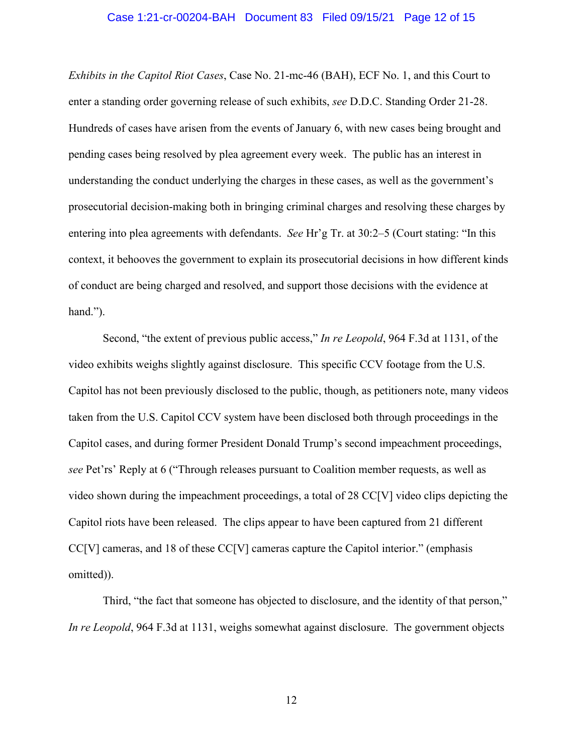### Case 1:21-cr-00204-BAH Document 83 Filed 09/15/21 Page 12 of 15

*Exhibits in the Capitol Riot Cases*, Case No. 21-mc-46 (BAH), ECF No. 1, and this Court to enter a standing order governing release of such exhibits, *see* D.D.C. Standing Order 21-28. Hundreds of cases have arisen from the events of January 6, with new cases being brought and pending cases being resolved by plea agreement every week. The public has an interest in understanding the conduct underlying the charges in these cases, as well as the government's prosecutorial decision-making both in bringing criminal charges and resolving these charges by entering into plea agreements with defendants. *See* Hr'g Tr. at 30:2–5 (Court stating: "In this context, it behooves the government to explain its prosecutorial decisions in how different kinds of conduct are being charged and resolved, and support those decisions with the evidence at hand.").

Second, "the extent of previous public access," *In re Leopold*, 964 F.3d at 1131, of the video exhibits weighs slightly against disclosure. This specific CCV footage from the U.S. Capitol has not been previously disclosed to the public, though, as petitioners note, many videos taken from the U.S. Capitol CCV system have been disclosed both through proceedings in the Capitol cases, and during former President Donald Trump's second impeachment proceedings, *see* Pet'rs' Reply at 6 ("Through releases pursuant to Coalition member requests, as well as video shown during the impeachment proceedings, a total of 28 CC[V] video clips depicting the Capitol riots have been released. The clips appear to have been captured from 21 different CC[V] cameras, and 18 of these CC[V] cameras capture the Capitol interior." (emphasis omitted)).

Third, "the fact that someone has objected to disclosure, and the identity of that person," *In re Leopold*, 964 F.3d at 1131, weighs somewhat against disclosure. The government objects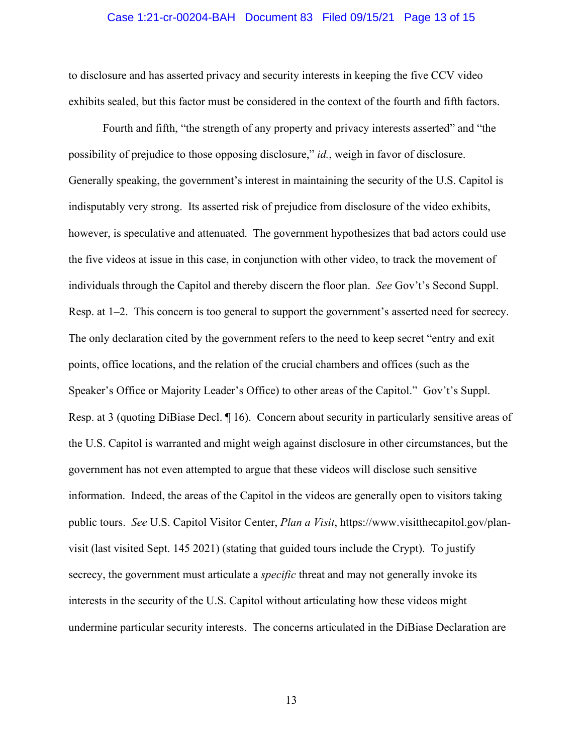## Case 1:21-cr-00204-BAH Document 83 Filed 09/15/21 Page 13 of 15

to disclosure and has asserted privacy and security interests in keeping the five CCV video exhibits sealed, but this factor must be considered in the context of the fourth and fifth factors.

Fourth and fifth, "the strength of any property and privacy interests asserted" and "the possibility of prejudice to those opposing disclosure," *id.*, weigh in favor of disclosure. Generally speaking, the government's interest in maintaining the security of the U.S. Capitol is indisputably very strong. Its asserted risk of prejudice from disclosure of the video exhibits, however, is speculative and attenuated. The government hypothesizes that bad actors could use the five videos at issue in this case, in conjunction with other video, to track the movement of individuals through the Capitol and thereby discern the floor plan. *See* Gov't's Second Suppl. Resp. at 1–2. This concern is too general to support the government's asserted need for secrecy. The only declaration cited by the government refers to the need to keep secret "entry and exit points, office locations, and the relation of the crucial chambers and offices (such as the Speaker's Office or Majority Leader's Office) to other areas of the Capitol." Gov't's Suppl. Resp. at 3 (quoting DiBiase Decl. ¶ 16). Concern about security in particularly sensitive areas of the U.S. Capitol is warranted and might weigh against disclosure in other circumstances, but the government has not even attempted to argue that these videos will disclose such sensitive information. Indeed, the areas of the Capitol in the videos are generally open to visitors taking public tours. *See* U.S. Capitol Visitor Center, *Plan a Visit*, https://www.visitthecapitol.gov/planvisit (last visited Sept. 145 2021) (stating that guided tours include the Crypt). To justify secrecy, the government must articulate a *specific* threat and may not generally invoke its interests in the security of the U.S. Capitol without articulating how these videos might undermine particular security interests. The concerns articulated in the DiBiase Declaration are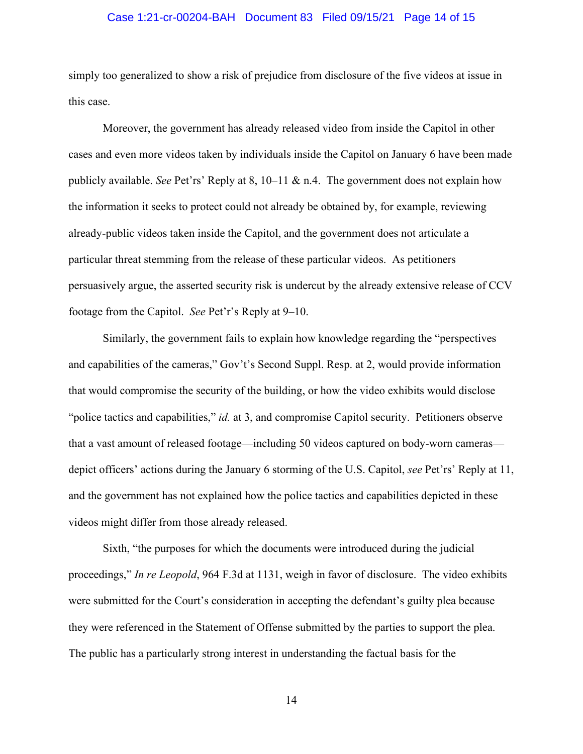## Case 1:21-cr-00204-BAH Document 83 Filed 09/15/21 Page 14 of 15

simply too generalized to show a risk of prejudice from disclosure of the five videos at issue in this case.

Moreover, the government has already released video from inside the Capitol in other cases and even more videos taken by individuals inside the Capitol on January 6 have been made publicly available. *See* Pet'rs' Reply at 8, 10–11 & n.4. The government does not explain how the information it seeks to protect could not already be obtained by, for example, reviewing already-public videos taken inside the Capitol, and the government does not articulate a particular threat stemming from the release of these particular videos. As petitioners persuasively argue, the asserted security risk is undercut by the already extensive release of CCV footage from the Capitol. *See* Pet'r's Reply at 9–10.

Similarly, the government fails to explain how knowledge regarding the "perspectives and capabilities of the cameras," Gov't's Second Suppl. Resp. at 2, would provide information that would compromise the security of the building, or how the video exhibits would disclose "police tactics and capabilities," *id.* at 3, and compromise Capitol security. Petitioners observe that a vast amount of released footage—including 50 videos captured on body-worn cameras depict officers' actions during the January 6 storming of the U.S. Capitol, *see* Pet'rs' Reply at 11, and the government has not explained how the police tactics and capabilities depicted in these videos might differ from those already released.

Sixth, "the purposes for which the documents were introduced during the judicial proceedings," *In re Leopold*, 964 F.3d at 1131, weigh in favor of disclosure. The video exhibits were submitted for the Court's consideration in accepting the defendant's guilty plea because they were referenced in the Statement of Offense submitted by the parties to support the plea. The public has a particularly strong interest in understanding the factual basis for the